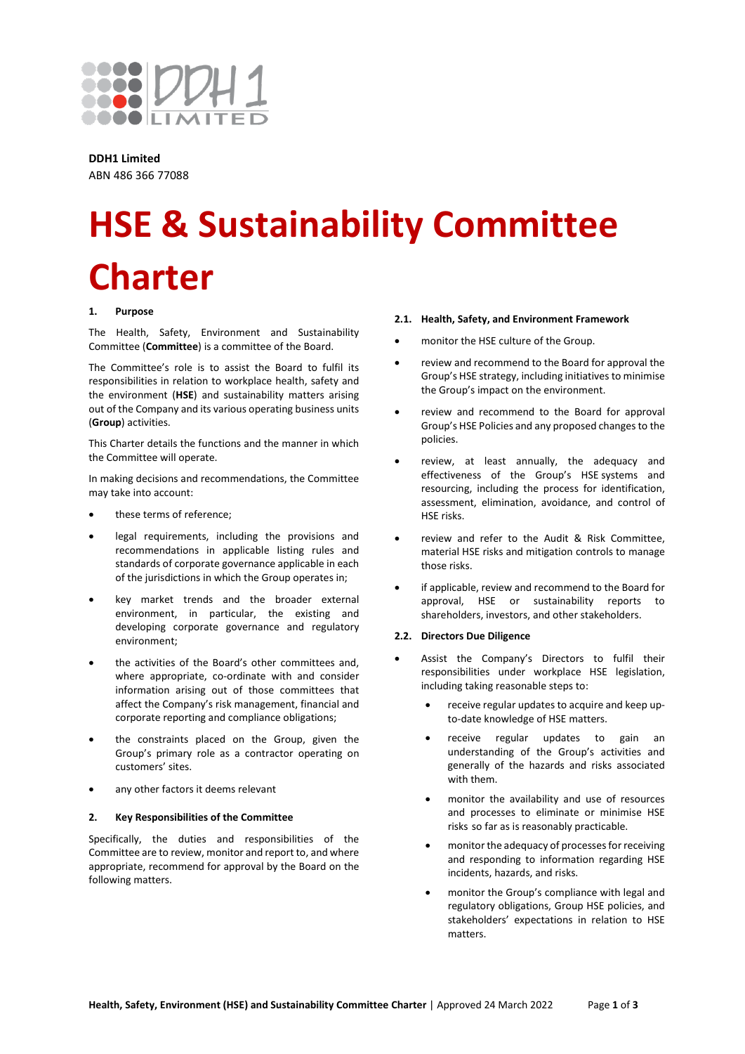

**DDH1 Limited** ABN 486 366 77088

# **HSE & Sustainability Committee Charter**

#### **1. Purpose**

The Health, Safety, Environment and Sustainability Committee (**Committee**) is a committee of the Board.

The Committee's role is to assist the Board to fulfil its responsibilities in relation to workplace health, safety and the environment (**HSE**) and sustainability matters arising out of the Company and its various operating business units (**Group**) activities.

This Charter details the functions and the manner in which the Committee will operate.

In making decisions and recommendations, the Committee may take into account:

- these terms of reference;
- legal requirements, including the provisions and recommendations in applicable listing rules and standards of corporate governance applicable in each of the jurisdictions in which the Group operates in;
- key market trends and the broader external environment, in particular, the existing and developing corporate governance and regulatory environment;
- the activities of the Board's other committees and, where appropriate, co-ordinate with and consider information arising out of those committees that affect the Company's risk management, financial and corporate reporting and compliance obligations;
- the constraints placed on the Group, given the Group's primary role as a contractor operating on customers' sites.
- any other factors it deems relevant

#### **2. Key Responsibilities of the Committee**

Specifically, the duties and responsibilities of the Committee are to review, monitor and report to, and where appropriate, recommend for approval by the Board on the following matters.

#### **2.1. Health, Safety, and Environment Framework**

- monitor the HSE culture of the Group.
- review and recommend to the Board for approval the Group's HSE strategy, including initiatives to minimise the Group's impact on the environment.
- review and recommend to the Board for approval Group's HSE Policies and any proposed changes to the policies.
- review, at least annually, the adequacy and effectiveness of the Group's HSE systems and resourcing, including the process for identification, assessment, elimination, avoidance, and control of HSE risks.
- review and refer to the Audit & Risk Committee, material HSE risks and mitigation controls to manage those risks.
- if applicable, review and recommend to the Board for approval, HSE or sustainability reports to shareholders, investors, and other stakeholders.

#### **2.2. Directors Due Diligence**

- Assist the Company's Directors to fulfil their responsibilities under workplace HSE legislation, including taking reasonable steps to:
	- receive regular updates to acquire and keep upto-date knowledge of HSE matters.
	- receive regular updates to gain an understanding of the Group's activities and generally of the hazards and risks associated with them.
	- monitor the availability and use of resources and processes to eliminate or minimise HSE risks so far as is reasonably practicable.
	- monitor the adequacy of processes for receiving and responding to information regarding HSE incidents, hazards, and risks.
	- monitor the Group's compliance with legal and regulatory obligations, Group HSE policies, and stakeholders' expectations in relation to HSE matters.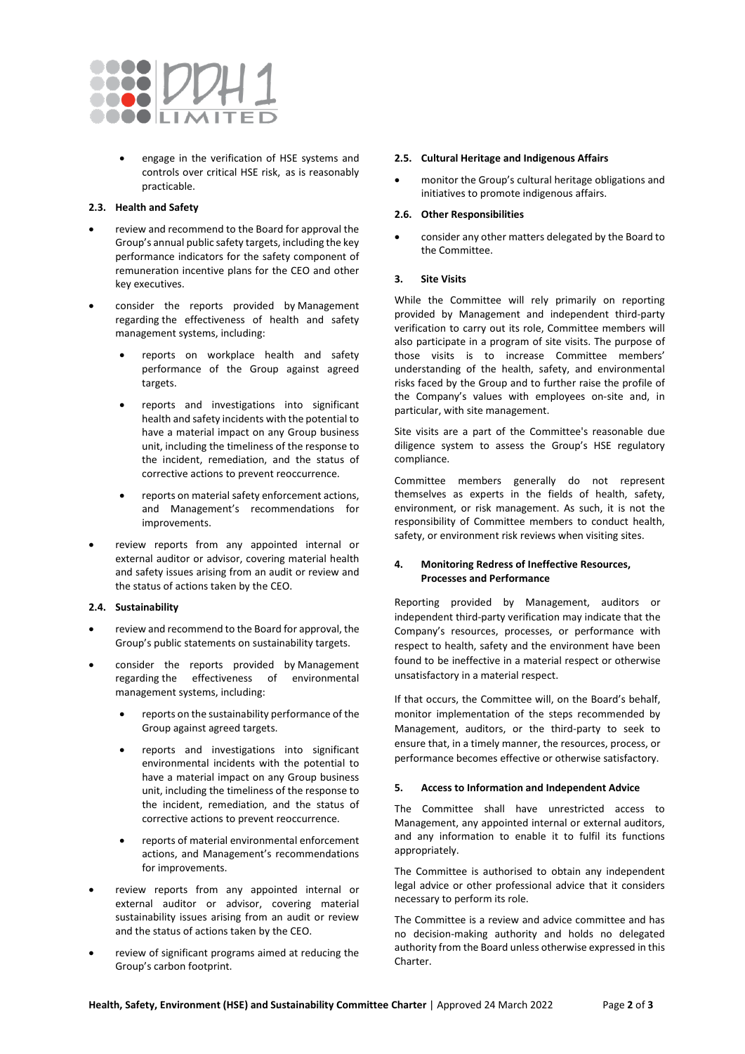

• engage in the verification of HSE systems and controls over critical HSE risk, as is reasonably practicable.

# **2.3. Health and Safety**

- review and recommend to the Board for approval the Group's annual public safety targets, including the key performance indicators for the safety component of remuneration incentive plans for the CEO and other key executives.
- consider the reports provided by Management regarding the effectiveness of health and safety management systems, including:
	- reports on workplace health and safety performance of the Group against agreed targets.
	- reports and investigations into significant health and safety incidents with the potential to have a material impact on any Group business unit, including the timeliness of the response to the incident, remediation, and the status of corrective actions to prevent reoccurrence.
	- reports on material safety enforcement actions, and Management's recommendations for improvements.
- review reports from any appointed internal or external auditor or advisor, covering material health and safety issues arising from an audit or review and the status of actions taken by the CEO.

## **2.4. Sustainability**

- review and recommend to the Board for approval, the Group's public statements on sustainability targets.
- consider the reports provided by Management regarding the effectiveness of environmental management systems, including:
	- reports on the sustainability performance of the Group against agreed targets.
	- reports and investigations into significant environmental incidents with the potential to have a material impact on any Group business unit, including the timeliness of the response to the incident, remediation, and the status of corrective actions to prevent reoccurrence.
	- reports of material environmental enforcement actions, and Management's recommendations for improvements.
- review reports from any appointed internal or external auditor or advisor, covering material sustainability issues arising from an audit or review and the status of actions taken by the CEO.
- review of significant programs aimed at reducing the Group's carbon footprint.

## **2.5. Cultural Heritage and Indigenous Affairs**

• monitor the Group's cultural heritage obligations and initiatives to promote indigenous affairs.

## **2.6. Other Responsibilities**

• consider any other matters delegated by the Board to the Committee.

## **3. Site Visits**

While the Committee will rely primarily on reporting provided by Management and independent third-party verification to carry out its role, Committee members will also participate in a program of site visits. The purpose of those visits is to increase Committee members' understanding of the health, safety, and environmental risks faced by the Group and to further raise the profile of the Company's values with employees on-site and, in particular, with site management.

Site visits are a part of the Committee's reasonable due diligence system to assess the Group's HSE regulatory compliance.

Committee members generally do not represent themselves as experts in the fields of health, safety, environment, or risk management. As such, it is not the responsibility of Committee members to conduct health, safety, or environment risk reviews when visiting sites.

# **4. Monitoring Redress of Ineffective Resources, Processes and Performance**

Reporting provided by Management, auditors or independent third-party verification may indicate that the Company's resources, processes, or performance with respect to health, safety and the environment have been found to be ineffective in a material respect or otherwise unsatisfactory in a material respect.

If that occurs, the Committee will, on the Board's behalf, monitor implementation of the steps recommended by Management, auditors, or the third-party to seek to ensure that, in a timely manner, the resources, process, or performance becomes effective or otherwise satisfactory.

# **5. Access to Information and Independent Advice**

The Committee shall have unrestricted access to Management, any appointed internal or external auditors, and any information to enable it to fulfil its functions appropriately.

The Committee is authorised to obtain any independent legal advice or other professional advice that it considers necessary to perform its role.

The Committee is a review and advice committee and has no decision-making authority and holds no delegated authority from the Board unless otherwise expressed in this Charter.